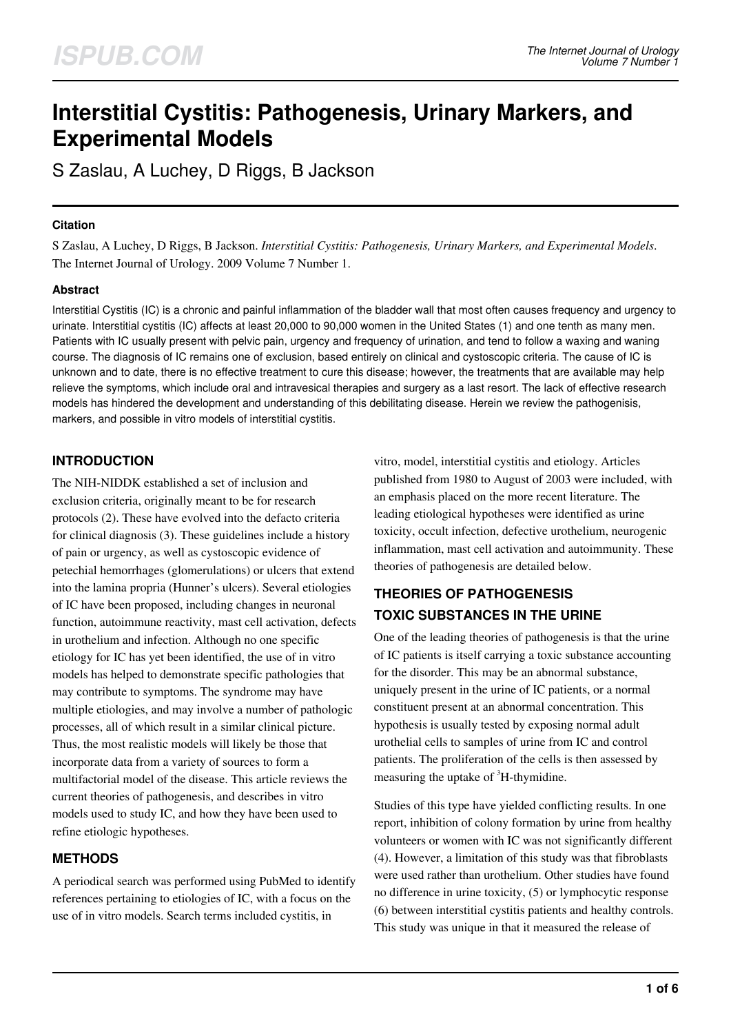# **Interstitial Cystitis: Pathogenesis, Urinary Markers, and Experimental Models**

S Zaslau, A Luchey, D Riggs, B Jackson

#### **Citation**

S Zaslau, A Luchey, D Riggs, B Jackson. *Interstitial Cystitis: Pathogenesis, Urinary Markers, and Experimental Models*. The Internet Journal of Urology. 2009 Volume 7 Number 1.

#### **Abstract**

Interstitial Cystitis (IC) is a chronic and painful inflammation of the bladder wall that most often causes frequency and urgency to urinate. Interstitial cystitis (IC) affects at least 20,000 to 90,000 women in the United States (1) and one tenth as many men. Patients with IC usually present with pelvic pain, urgency and frequency of urination, and tend to follow a waxing and waning course. The diagnosis of IC remains one of exclusion, based entirely on clinical and cystoscopic criteria. The cause of IC is unknown and to date, there is no effective treatment to cure this disease; however, the treatments that are available may help relieve the symptoms, which include oral and intravesical therapies and surgery as a last resort. The lack of effective research models has hindered the development and understanding of this debilitating disease. Herein we review the pathogenisis, markers, and possible in vitro models of interstitial cystitis.

# **INTRODUCTION**

The NIH-NIDDK established a set of inclusion and exclusion criteria, originally meant to be for research protocols (2). These have evolved into the defacto criteria for clinical diagnosis (3). These guidelines include a history of pain or urgency, as well as cystoscopic evidence of petechial hemorrhages (glomerulations) or ulcers that extend into the lamina propria (Hunner's ulcers). Several etiologies of IC have been proposed, including changes in neuronal function, autoimmune reactivity, mast cell activation, defects in urothelium and infection. Although no one specific etiology for IC has yet been identified, the use of in vitro models has helped to demonstrate specific pathologies that may contribute to symptoms. The syndrome may have multiple etiologies, and may involve a number of pathologic processes, all of which result in a similar clinical picture. Thus, the most realistic models will likely be those that incorporate data from a variety of sources to form a multifactorial model of the disease. This article reviews the current theories of pathogenesis, and describes in vitro models used to study IC, and how they have been used to refine etiologic hypotheses.

# **METHODS**

A periodical search was performed using PubMed to identify references pertaining to etiologies of IC, with a focus on the use of in vitro models. Search terms included cystitis, in

vitro, model, interstitial cystitis and etiology. Articles published from 1980 to August of 2003 were included, with an emphasis placed on the more recent literature. The leading etiological hypotheses were identified as urine toxicity, occult infection, defective urothelium, neurogenic inflammation, mast cell activation and autoimmunity. These theories of pathogenesis are detailed below.

# **THEORIES OF PATHOGENESIS TOXIC SUBSTANCES IN THE URINE**

One of the leading theories of pathogenesis is that the urine of IC patients is itself carrying a toxic substance accounting for the disorder. This may be an abnormal substance, uniquely present in the urine of IC patients, or a normal constituent present at an abnormal concentration. This hypothesis is usually tested by exposing normal adult urothelial cells to samples of urine from IC and control patients. The proliferation of the cells is then assessed by measuring the uptake of  ${}^{3}$ H-thymidine.

Studies of this type have yielded conflicting results. In one report, inhibition of colony formation by urine from healthy volunteers or women with IC was not significantly different (4). However, a limitation of this study was that fibroblasts were used rather than urothelium. Other studies have found no difference in urine toxicity, (5) or lymphocytic response (6) between interstitial cystitis patients and healthy controls. This study was unique in that it measured the release of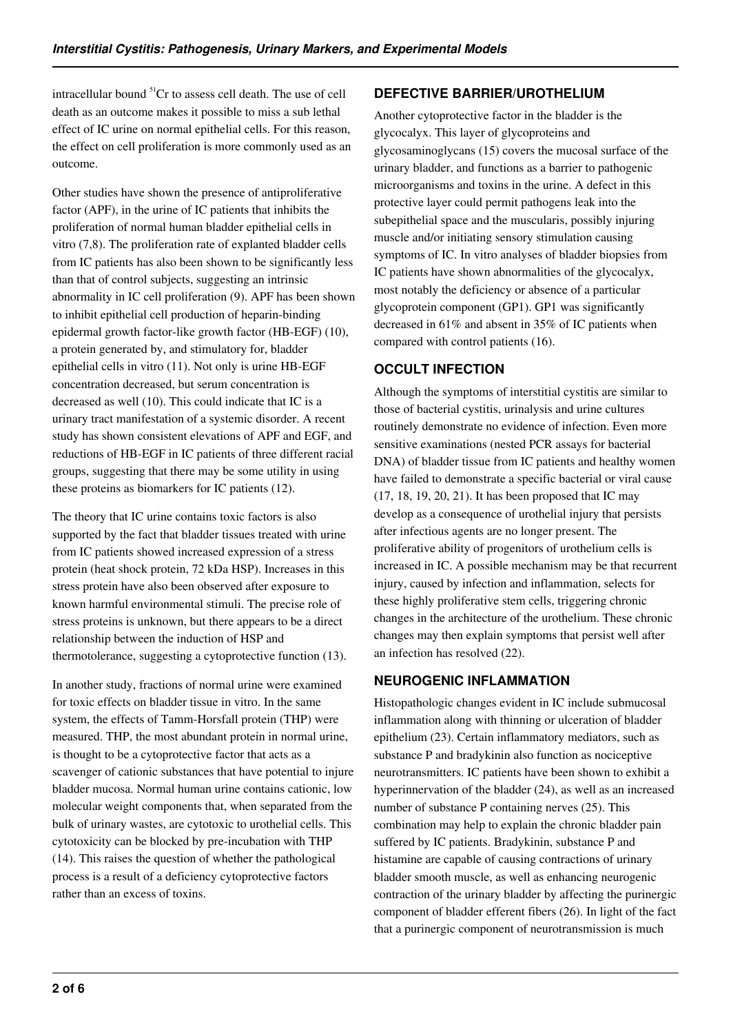intracellular bound  ${}^{51}Cr$  to assess cell death. The use of cell death as an outcome makes it possible to miss a sub lethal effect of IC urine on normal epithelial cells. For this reason, the effect on cell proliferation is more commonly used as an outcome.

Other studies have shown the presence of antiproliferative factor (APF), in the urine of IC patients that inhibits the proliferation of normal human bladder epithelial cells in vitro (7,8). The proliferation rate of explanted bladder cells from IC patients has also been shown to be significantly less than that of control subjects, suggesting an intrinsic abnormality in IC cell proliferation (9). APF has been shown to inhibit epithelial cell production of heparin-binding epidermal growth factor-like growth factor (HB-EGF) (10), a protein generated by, and stimulatory for, bladder epithelial cells in vitro (11). Not only is urine HB-EGF concentration decreased, but serum concentration is decreased as well (10). This could indicate that IC is a urinary tract manifestation of a systemic disorder. A recent study has shown consistent elevations of APF and EGF, and reductions of HB-EGF in IC patients of three different racial groups, suggesting that there may be some utility in using these proteins as biomarkers for IC patients (12).

The theory that IC urine contains toxic factors is also supported by the fact that bladder tissues treated with urine from IC patients showed increased expression of a stress protein (heat shock protein, 72 kDa HSP). Increases in this stress protein have also been observed after exposure to known harmful environmental stimuli. The precise role of stress proteins is unknown, but there appears to be a direct relationship between the induction of HSP and thermotolerance, suggesting a cytoprotective function (13).

In another study, fractions of normal urine were examined for toxic effects on bladder tissue in vitro. In the same system, the effects of Tamm-Horsfall protein (THP) were measured. THP, the most abundant protein in normal urine, is thought to be a cytoprotective factor that acts as a scavenger of cationic substances that have potential to injure bladder mucosa. Normal human urine contains cationic, low molecular weight components that, when separated from the bulk of urinary wastes, are cytotoxic to urothelial cells. This cytotoxicity can be blocked by pre-incubation with THP (14). This raises the question of whether the pathological process is a result of a deficiency cytoprotective factors rather than an excess of toxins.

## **DEFECTIVE BARRIER/UROTHELIUM**

Another cytoprotective factor in the bladder is the glycocalyx. This layer of glycoproteins and glycosaminoglycans (15) covers the mucosal surface of the urinary bladder, and functions as a barrier to pathogenic microorganisms and toxins in the urine. A defect in this protective layer could permit pathogens leak into the subepithelial space and the muscularis, possibly injuring muscle and/or initiating sensory stimulation causing symptoms of IC. In vitro analyses of bladder biopsies from IC patients have shown abnormalities of the glycocalyx, most notably the deficiency or absence of a particular glycoprotein component (GP1). GP1 was significantly decreased in 61% and absent in 35% of IC patients when compared with control patients (16).

# **OCCULT INFECTION**

Although the symptoms of interstitial cystitis are similar to those of bacterial cystitis, urinalysis and urine cultures routinely demonstrate no evidence of infection. Even more sensitive examinations (nested PCR assays for bacterial DNA) of bladder tissue from IC patients and healthy women have failed to demonstrate a specific bacterial or viral cause (17, 18, 19, 20, 21). It has been proposed that IC may develop as a consequence of urothelial injury that persists after infectious agents are no longer present. The proliferative ability of progenitors of urothelium cells is increased in IC. A possible mechanism may be that recurrent injury, caused by infection and inflammation, selects for these highly proliferative stem cells, triggering chronic changes in the architecture of the urothelium. These chronic changes may then explain symptoms that persist well after an infection has resolved (22).

# **NEUROGENIC INFLAMMATION**

Histopathologic changes evident in IC include submucosal inflammation along with thinning or ulceration of bladder epithelium (23). Certain inflammatory mediators, such as substance P and bradykinin also function as nociceptive neurotransmitters. IC patients have been shown to exhibit a hyperinnervation of the bladder (24), as well as an increased number of substance P containing nerves (25). This combination may help to explain the chronic bladder pain suffered by IC patients. Bradykinin, substance P and histamine are capable of causing contractions of urinary bladder smooth muscle, as well as enhancing neurogenic contraction of the urinary bladder by affecting the purinergic component of bladder efferent fibers (26). In light of the fact that a purinergic component of neurotransmission is much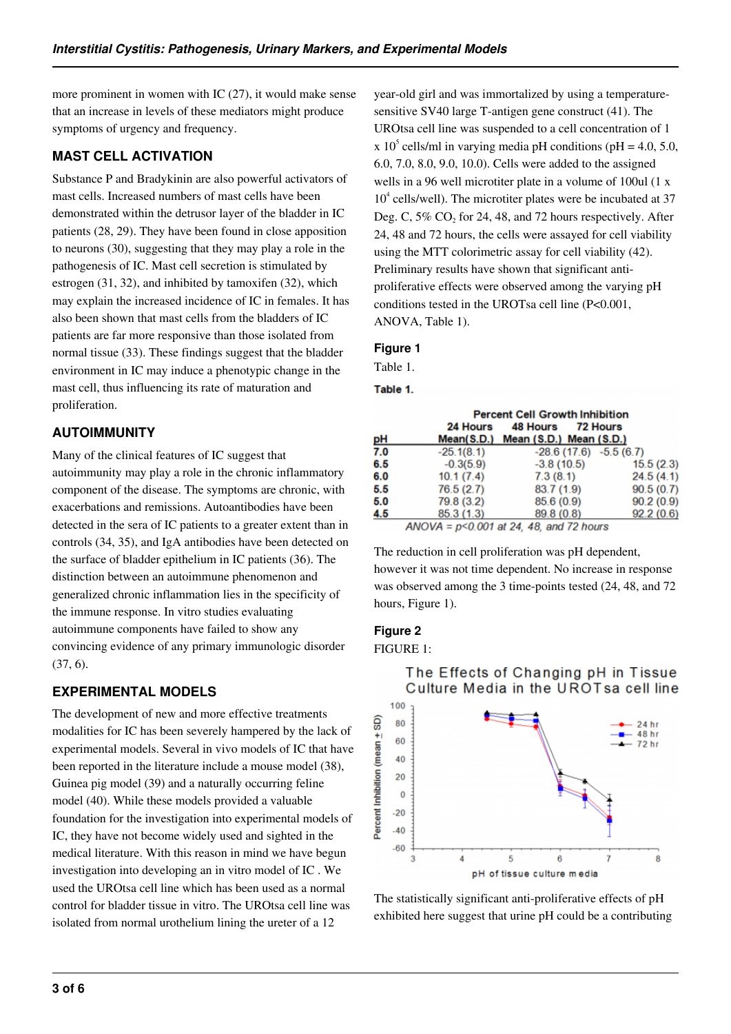more prominent in women with IC (27), it would make sense that an increase in levels of these mediators might produce symptoms of urgency and frequency.

## **MAST CELL ACTIVATION**

Substance P and Bradykinin are also powerful activators of mast cells. Increased numbers of mast cells have been demonstrated within the detrusor layer of the bladder in IC patients (28, 29). They have been found in close apposition to neurons (30), suggesting that they may play a role in the pathogenesis of IC. Mast cell secretion is stimulated by estrogen (31, 32), and inhibited by tamoxifen (32), which may explain the increased incidence of IC in females. It has also been shown that mast cells from the bladders of IC patients are far more responsive than those isolated from normal tissue (33). These findings suggest that the bladder environment in IC may induce a phenotypic change in the mast cell, thus influencing its rate of maturation and proliferation.

## **AUTOIMMUNITY**

Many of the clinical features of IC suggest that autoimmunity may play a role in the chronic inflammatory component of the disease. The symptoms are chronic, with exacerbations and remissions. Autoantibodies have been detected in the sera of IC patients to a greater extent than in controls (34, 35), and IgA antibodies have been detected on the surface of bladder epithelium in IC patients (36). The distinction between an autoimmune phenomenon and generalized chronic inflammation lies in the specificity of the immune response. In vitro studies evaluating autoimmune components have failed to show any convincing evidence of any primary immunologic disorder (37, 6).

# **EXPERIMENTAL MODELS**

The development of new and more effective treatments modalities for IC has been severely hampered by the lack of experimental models. Several in vivo models of IC that have been reported in the literature include a mouse model (38), Guinea pig model (39) and a naturally occurring feline model (40). While these models provided a valuable foundation for the investigation into experimental models of IC, they have not become widely used and sighted in the medical literature. With this reason in mind we have begun investigation into developing an in vitro model of IC . We used the UROtsa cell line which has been used as a normal control for bladder tissue in vitro. The UROtsa cell line was isolated from normal urothelium lining the ureter of a 12

year-old girl and was immortalized by using a temperaturesensitive SV40 large T-antigen gene construct (41). The UROtsa cell line was suspended to a cell concentration of 1 x 10<sup>5</sup> cells/ml in varying media pH conditions (pH = 4.0, 5.0, 6.0, 7.0, 8.0, 9.0, 10.0). Cells were added to the assigned wells in a 96 well microtiter plate in a volume of 100ul (1 x 10<sup>4</sup> cells/well). The microtiter plates were be incubated at 37 Deg. C,  $5\%$  CO<sub>2</sub> for 24, 48, and 72 hours respectively. After 24, 48 and 72 hours, the cells were assayed for cell viability using the MTT colorimetric assay for cell viability (42). Preliminary results have shown that significant antiproliferative effects were observed among the varying pH conditions tested in the UROTsa cell line (P<0.001, ANOVA, Table 1).

#### **Figure 1**

Table 1.

#### Table 1.

|     | <b>Percent Cell Growth Inhibition</b> |                                               |           |
|-----|---------------------------------------|-----------------------------------------------|-----------|
|     | 24 Hours                              | 48 Hours 72 Hours                             |           |
| pН  |                                       | Mean(S.D.) Mean (S.D.) Mean (S.D.)            |           |
| 7.0 | $-25.1(8.1)$                          | $-28.6(17.6) -5.5(6.7)$                       |           |
| 6.5 | $-0.3(5.9)$                           | $-3.8(10.5)$                                  | 15.5(2.3) |
| 6.0 | 10.1(7.4)                             | 7.3(8.1)                                      | 24.5(4.1) |
| 5.5 | 76.5(2.7)                             | 83.7(1.9)                                     | 90.5(0.7) |
| 5.0 | 79.8 (3.2)                            | 85.6(0.9)                                     | 90.2(0.9) |
| 4.5 | 85.3(1.3)                             | 89.8(0.8)                                     | 92.2(0.6) |
|     |                                       | $AMOVA = n \le 0.001$ at 24, 48, and 72 hours |           |

 $ANOVA = p \le 0.001$  at 24, 48, and 72 hours

The reduction in cell proliferation was pH dependent, however it was not time dependent. No increase in response was observed among the 3 time-points tested (24, 48, and 72 hours, Figure 1).

#### **Figure 2**

FIGURE 1:



# The Effects of Changing pH in Tissue Culture Media in the UROTsa cell line

The statistically significant anti-proliferative effects of pH exhibited here suggest that urine pH could be a contributing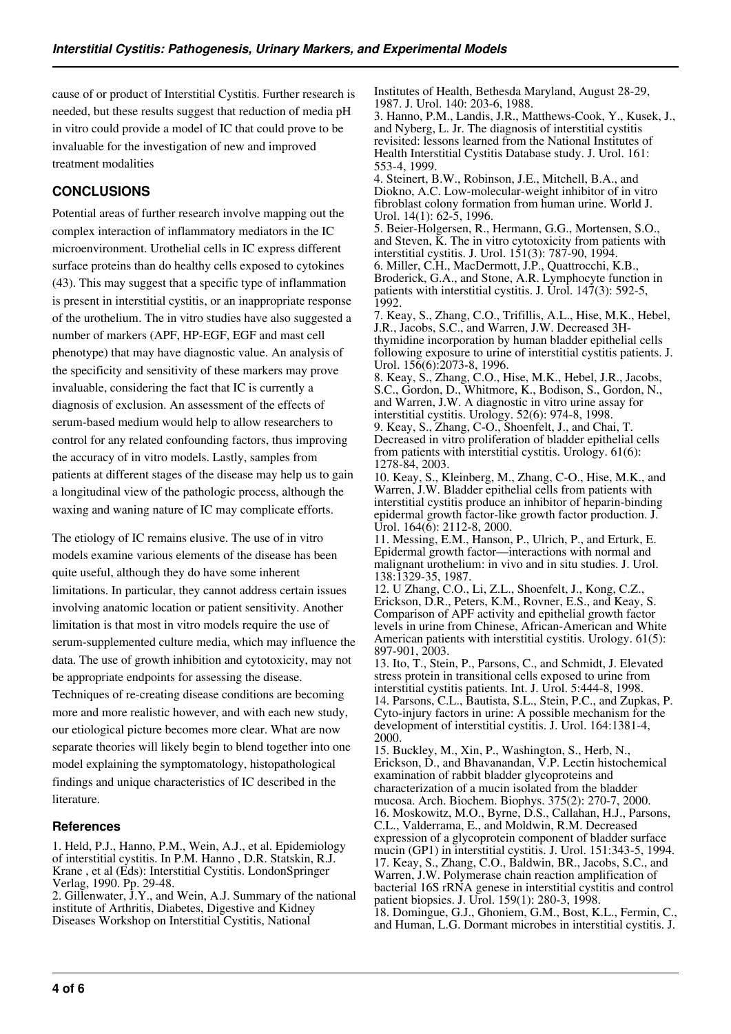cause of or product of Interstitial Cystitis. Further research is needed, but these results suggest that reduction of media pH in vitro could provide a model of IC that could prove to be invaluable for the investigation of new and improved treatment modalities

## **CONCLUSIONS**

Potential areas of further research involve mapping out the complex interaction of inflammatory mediators in the IC microenvironment. Urothelial cells in IC express different surface proteins than do healthy cells exposed to cytokines (43). This may suggest that a specific type of inflammation is present in interstitial cystitis, or an inappropriate response of the urothelium. The in vitro studies have also suggested a number of markers (APF, HP-EGF, EGF and mast cell phenotype) that may have diagnostic value. An analysis of the specificity and sensitivity of these markers may prove invaluable, considering the fact that IC is currently a diagnosis of exclusion. An assessment of the effects of serum-based medium would help to allow researchers to control for any related confounding factors, thus improving the accuracy of in vitro models. Lastly, samples from patients at different stages of the disease may help us to gain a longitudinal view of the pathologic process, although the waxing and waning nature of IC may complicate efforts.

The etiology of IC remains elusive. The use of in vitro models examine various elements of the disease has been quite useful, although they do have some inherent limitations. In particular, they cannot address certain issues involving anatomic location or patient sensitivity. Another limitation is that most in vitro models require the use of serum-supplemented culture media, which may influence the data. The use of growth inhibition and cytotoxicity, may not be appropriate endpoints for assessing the disease. Techniques of re-creating disease conditions are becoming more and more realistic however, and with each new study, our etiological picture becomes more clear. What are now separate theories will likely begin to blend together into one model explaining the symptomatology, histopathological findings and unique characteristics of IC described in the literature.

#### **References**

1. Held, P.J., Hanno, P.M., Wein, A.J., et al. Epidemiology of interstitial cystitis. In P.M. Hanno , D.R. Statskin, R.J. Krane , et al (Eds): Interstitial Cystitis. LondonSpringer Verlag, 1990. Pp. 29-48.

2. Gillenwater, J.Y., and Wein, A.J. Summary of the national institute of Arthritis, Diabetes, Digestive and Kidney Diseases Workshop on Interstitial Cystitis, National

Institutes of Health, Bethesda Maryland, August 28-29, 1987. J. Urol. 140: 203-6, 1988.

3. Hanno, P.M., Landis, J.R., Matthews-Cook, Y., Kusek, J., and Nyberg, L. Jr. The diagnosis of interstitial cystitis revisited: lessons learned from the National Institutes of Health Interstitial Cystitis Database study. J. Urol. 161: 553-4, 1999.

4. Steinert, B.W., Robinson, J.E., Mitchell, B.A., and Diokno, A.C. Low-molecular-weight inhibitor of in vitro fibroblast colony formation from human urine. World J. Urol. 14(1): 62-5, 1996.

5. Beier-Holgersen, R., Hermann, G.G., Mortensen, S.O., and Steven,  $\bar{K}$ . The in vitro cytotoxicity from patients with interstitial cystitis. J. Urol. 151(3): 787-90, 1994. 6. Miller, C.H., MacDermott, J.P., Quattrocchi, K.B., Broderick, G.A., and Stone, A.R. Lymphocyte function in patients with interstitial cystitis. J. Urol. 147(3): 592-5, 1992.

7. Keay, S., Zhang, C.O., Trifillis, A.L., Hise, M.K., Hebel, J.R., Jacobs, S.C., and Warren, J.W. Decreased 3Hthymidine incorporation by human bladder epithelial cells following exposure to urine of interstitial cystitis patients. J. Urol. 156(6):2073-8, 1996.

8. Keay, S., Zhang, C.O., Hise, M.K., Hebel, J.R., Jacobs, S.C., Gordon, D., Whitmore, K., Bodison, S., Gordon, N., and Warren, J.W. A diagnostic in vitro urine assay for interstitial cystitis. Urology. 52(6): 974-8, 1998.

9. Keay, S., Zhang, C-O., Shoenfelt, J., and Chai, T. Decreased in vitro proliferation of bladder epithelial cells from patients with interstitial cystitis. Urology. 61(6): 1278-84, 2003.

10. Keay, S., Kleinberg, M., Zhang, C-O., Hise, M.K., and Warren, J.W. Bladder epithelial cells from patients with interstitial cystitis produce an inhibitor of heparin-binding epidermal growth factor-like growth factor production. J. Urol.  $164(\overline{6})$ : 2112-8, 2000.

11. Messing, E.M., Hanson, P., Ulrich, P., and Erturk, E. Epidermal growth factor—interactions with normal and malignant urothelium: in vivo and in situ studies. J. Urol. 138:1329-35, 1987.

12. U Zhang, C.O., Li, Z.L., Shoenfelt, J., Kong, C.Z., Erickson, D.R., Peters, K.M., Rovner, E.S., and Keay, S. Comparison of APF activity and epithelial growth factor levels in urine from Chinese, African-American and White American patients with interstitial cystitis. Urology. 61(5): 897-901, 2003.

13. Ito, T., Stein, P., Parsons, C., and Schmidt, J. Elevated stress protein in transitional cells exposed to urine from interstitial cystitis patients. Int. J. Urol. 5:444-8, 1998. 14. Parsons, C.L., Bautista, S.L., Stein, P.C., and Zupkas, P. Cyto-injury factors in urine: A possible mechanism for the development of interstitial cystitis. J. Urol. 164:1381-4, 2000.

15. Buckley, M., Xin, P., Washington, S., Herb, N., Erickson, D., and Bhavanandan, V.P. Lectin histochemical examination of rabbit bladder glycoproteins and characterization of a mucin isolated from the bladder mucosa. Arch. Biochem. Biophys. 375(2): 270-7, 2000. 16. Moskowitz, M.O., Byrne, D.S., Callahan, H.J., Parsons, C.L., Valderrama, E., and Moldwin, R.M. Decreased expression of a glycoprotein component of bladder surface mucin (GP1) in interstitial cystitis. J. Urol. 151:343-5, 1994. 17. Keay, S., Zhang, C.O., Baldwin, BR., Jacobs, S.C., and Warren, J.W. Polymerase chain reaction amplification of bacterial 16S rRNA genese in interstitial cystitis and control patient biopsies. J. Urol. 159(1): 280-3, 1998. 18. Domingue, G.J., Ghoniem, G.M., Bost, K.L., Fermin, C., and Human, L.G. Dormant microbes in interstitial cystitis. J.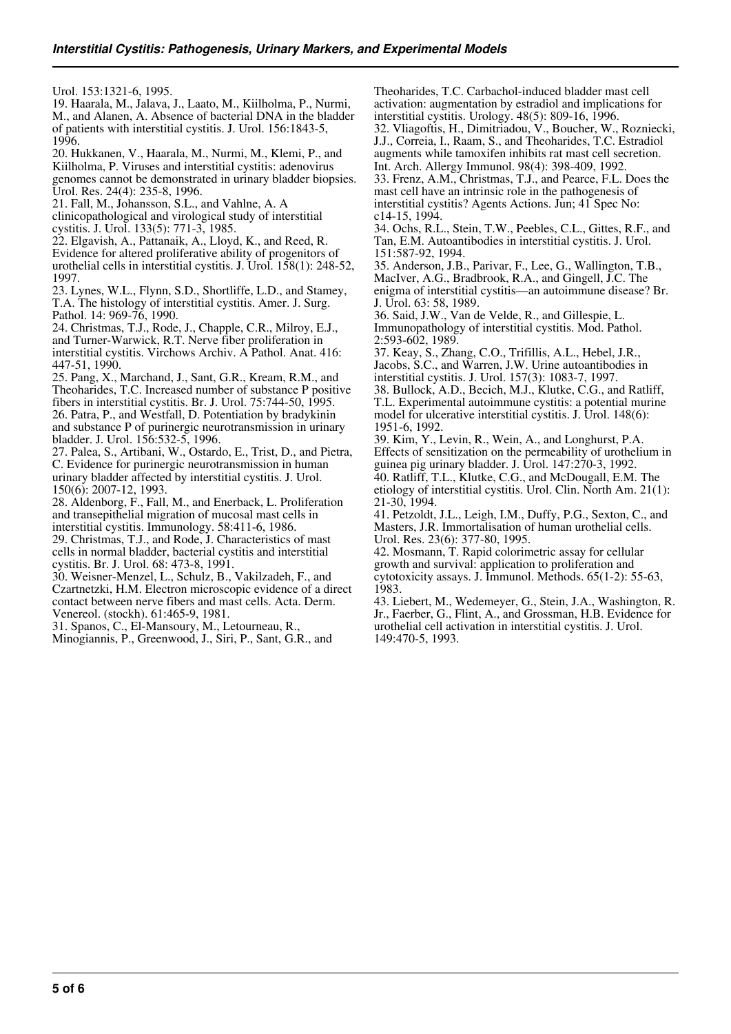Urol. 153:1321-6, 1995.

19. Haarala, M., Jalava, J., Laato, M., Kiilholma, P., Nurmi, M., and Alanen, A. Absence of bacterial DNA in the bladder of patients with interstitial cystitis. J. Urol. 156:1843-5, 1996.

20. Hukkanen, V., Haarala, M., Nurmi, M., Klemi, P., and Kiilholma, P. Viruses and interstitial cystitis: adenovirus genomes cannot be demonstrated in urinary bladder biopsies. Urol. Res. 24(4): 235-8, 1996.

21. Fall, M., Johansson, S.L., and Vahlne, A. A

clinicopathological and virological study of interstitial cystitis. J. Urol. 133(5): 771-3, 1985.

22. Elgavish, A., Pattanaik, A., Lloyd, K., and Reed, R. Evidence for altered proliferative ability of progenitors of urothelial cells in interstitial cystitis. J. Urol. 158(1): 248-52, 1997.

23. Lynes, W.L., Flynn, S.D., Shortliffe, L.D., and Stamey, T.A. The histology of interstitial cystitis. Amer. J. Surg. Pathol. 14: 969-76, 1990.

24. Christmas, T.J., Rode, J., Chapple, C.R., Milroy, E.J., and Turner-Warwick, R.T. Nerve fiber proliferation in interstitial cystitis. Virchows Archiv. A Pathol. Anat. 416: 447-51, 1990.

25. Pang, X., Marchand, J., Sant, G.R., Kream, R.M., and Theoharides, T.C. Increased number of substance P positive fibers in interstitial cystitis. Br. J. Urol. 75:744-50, 1995. 26. Patra, P., and Westfall, D. Potentiation by bradykinin and substance P of purinergic neurotransmission in urinary

bladder. J. Urol. 156:532-5, 1996. 27. Palea, S., Artibani, W., Ostardo, E., Trist, D., and Pietra,

C. Evidence for purinergic neurotransmission in human urinary bladder affected by interstitial cystitis. J. Urol. 150(6): 2007-12, 1993.

28. Aldenborg, F., Fall, M., and Enerback, L. Proliferation and transepithelial migration of mucosal mast cells in interstitial cystitis. Immunology. 58:411-6, 1986.

29. Christmas, T.J., and Rode, J. Characteristics of mast cells in normal bladder, bacterial cystitis and interstitial cystitis. Br. J. Urol. 68: 473-8, 1991.

30. Weisner-Menzel, L., Schulz, B., Vakilzadeh, F., and Czartnetzki, H.M. Electron microscopic evidence of a direct contact between nerve fibers and mast cells. Acta. Derm. Venereol. (stockh). 61:465-9, 1981.

31. Spanos, C., El-Mansoury, M., Letourneau, R.,

Minogiannis, P., Greenwood, J., Siri, P., Sant, G.R., and

Theoharides, T.C. Carbachol-induced bladder mast cell activation: augmentation by estradiol and implications for interstitial cystitis. Urology. 48(5): 809-16, 1996. 32. Vliagoftis, H., Dimitriadou, V., Boucher, W., Rozniecki, J.J., Correia, I., Raam, S., and Theoharides, T.C. Estradiol augments while tamoxifen inhibits rat mast cell secretion. Int. Arch. Allergy Immunol. 98(4): 398-409, 1992. 33. Frenz, A.M., Christmas, T.J., and Pearce, F.L. Does the mast cell have an intrinsic role in the pathogenesis of interstitial cystitis? Agents Actions. Jun; 41 Spec No:

c14-15, 1994. 34. Ochs, R.L., Stein, T.W., Peebles, C.L., Gittes, R.F., and Tan, E.M. Autoantibodies in interstitial cystitis. J. Urol. 151:587-92, 1994.

35. Anderson, J.B., Parivar, F., Lee, G., Wallington, T.B., MacIver, A.G., Bradbrook, R.A., and Gingell, J.C. The enigma of interstitial cystitis—an autoimmune disease? Br. J. Urol. 63: 58, 1989.

36. Said, J.W., Van de Velde, R., and Gillespie, L. Immunopathology of interstitial cystitis. Mod. Pathol. 2:593-602, 1989.

37. Keay, S., Zhang, C.O., Trifillis, A.L., Hebel, J.R., Jacobs, S.C., and Warren, J.W. Urine autoantibodies in interstitial cystitis. J. Urol. 157(3): 1083-7, 1997. 38. Bullock, A.D., Becich, M.J., Klutke, C.G., and Ratliff, T.L. Experimental autoimmune cystitis: a potential murine model for ulcerative interstitial cystitis. J. Urol. 148(6):

1951-6, 1992. 39. Kim, Y., Levin, R., Wein, A., and Longhurst, P.A. Effects of sensitization on the permeability of urothelium in guinea pig urinary bladder. J. Urol. 147:270-3, 1992. 40. Ratliff, T.L., Klutke, C.G., and McDougall, E.M. The etiology of interstitial cystitis. Urol. Clin. North Am. 21(1): 21-30, 1994.

41. Petzoldt, J.L., Leigh, I.M., Duffy, P.G., Sexton, C., and Masters, J.R. Immortalisation of human urothelial cells. Urol. Res. 23(6): 377-80, 1995.

42. Mosmann, T. Rapid colorimetric assay for cellular growth and survival: application to proliferation and cytotoxicity assays. J. Immunol. Methods. 65(1-2): 55-63, 1983.

43. Liebert, M., Wedemeyer, G., Stein, J.A., Washington, R. Jr., Faerber, G., Flint, A., and Grossman, H.B. Evidence for urothelial cell activation in interstitial cystitis. J. Urol. 149:470-5, 1993.